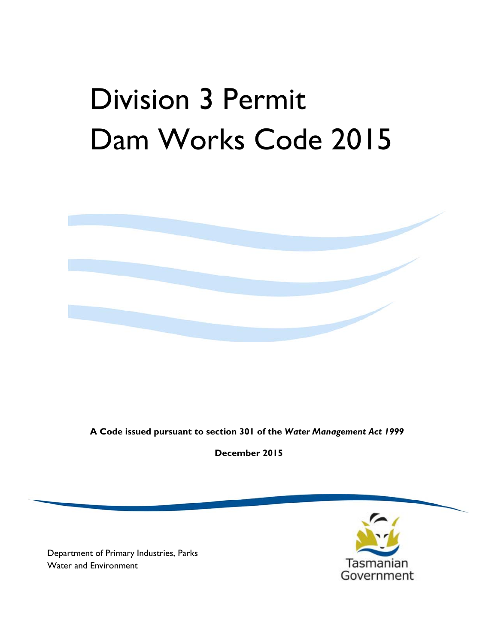# Division 3 Permit Dam Works Code 2015



**A Code issued pursuant to section 301 of the** *Water Management Act 1999*

**December 2015** 

Department of Primary Industries, Parks Water and Environment

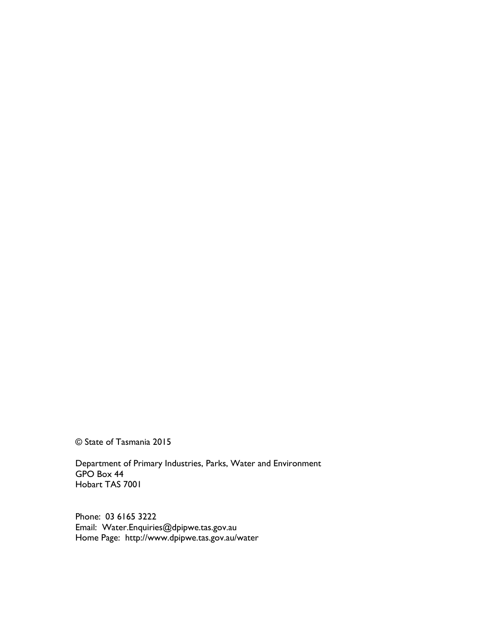© State of Tasmania 2015

Department of Primary Industries, Parks, Water and Environment GPO Box 44 Hobart TAS 7001

Phone: 03 6165 3222 Email: Water.Enquiries@dpipwe.tas.gov.au Home Page: http://www.dpipwe.tas.gov.au/water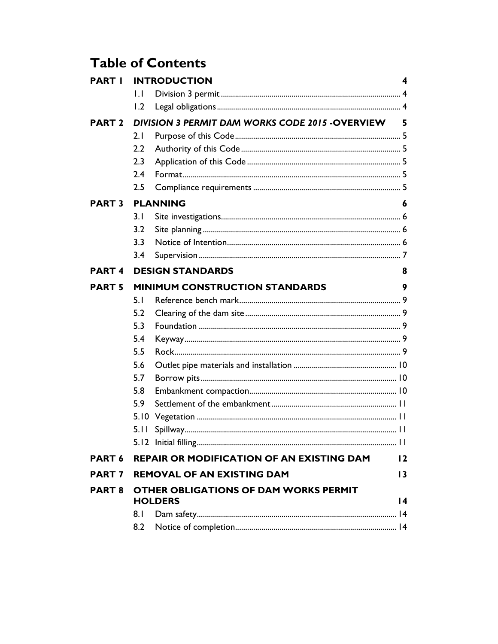## **Table of Contents**

| <b>PART I</b>     | <b>INTRODUCTION</b>                              |                                                  | 4               |
|-------------------|--------------------------------------------------|--------------------------------------------------|-----------------|
|                   | $\mathsf{L}$                                     |                                                  |                 |
|                   | 1.2                                              |                                                  |                 |
| <b>PART 2</b>     | DIVISION 3 PERMIT DAM WORKS CODE 2015 - OVERVIEW |                                                  | 5               |
|                   | 2.1                                              |                                                  |                 |
|                   | $2.2\phantom{0}$                                 |                                                  |                 |
|                   | 2.3                                              |                                                  |                 |
|                   | 2.4                                              |                                                  |                 |
|                   | 2.5                                              |                                                  |                 |
| <b>PART 3</b>     | <b>PLANNING</b>                                  |                                                  | 6               |
|                   | 3.1                                              |                                                  |                 |
|                   | 3.2                                              |                                                  |                 |
|                   | 3.3                                              |                                                  |                 |
|                   | 3.4                                              |                                                  |                 |
| <b>PART4</b>      |                                                  | <b>DESIGN STANDARDS</b>                          | 8               |
| <b>PART 5</b>     | <b>MINIMUM CONSTRUCTION STANDARDS</b>            |                                                  | 9               |
|                   | 5.1                                              |                                                  |                 |
|                   | 5.2                                              |                                                  |                 |
|                   | 5.3                                              |                                                  |                 |
|                   | 5.4                                              |                                                  |                 |
|                   | 5.5                                              |                                                  |                 |
|                   | 5.6                                              |                                                  |                 |
|                   | 5.7                                              |                                                  |                 |
|                   | 5.8                                              |                                                  |                 |
|                   | 5.9                                              |                                                  |                 |
|                   | 5.10                                             |                                                  |                 |
|                   | 5.11                                             |                                                  |                 |
|                   |                                                  |                                                  |                 |
| PART <sub>6</sub> |                                                  | <b>REPAIR OR MODIFICATION OF AN EXISTING DAM</b> | 12              |
| PART <sub>7</sub> |                                                  | <b>REMOVAL OF AN EXISTING DAM</b>                | $\overline{13}$ |
| <b>PART 8</b>     | <b>OTHER OBLIGATIONS OF DAM WORKS PERMIT</b>     |                                                  |                 |
|                   | <b>HOLDERS</b>                                   |                                                  | $\overline{14}$ |
|                   | 8.1                                              |                                                  |                 |
|                   | 8.2                                              |                                                  |                 |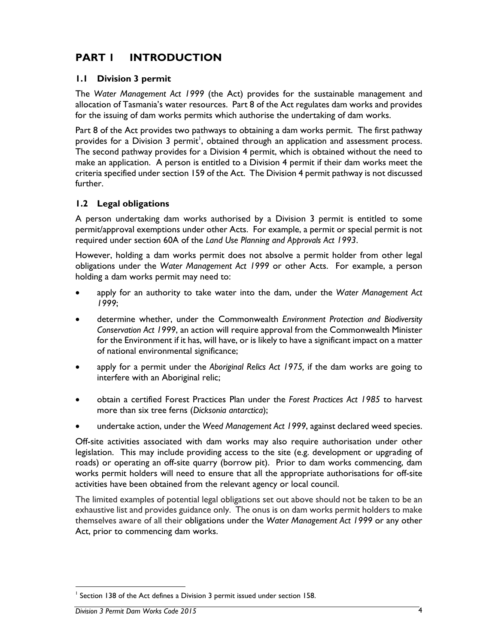## **PART 1 INTRODUCTION**

#### **1.1 Division 3 permit**

The *Water Management Act 1999* (the Act) provides for the sustainable management and allocation of Tasmania's water resources. Part 8 of the Act regulates dam works and provides for the issuing of dam works permits which authorise the undertaking of dam works.

Part 8 of the Act provides two pathways to obtaining a dam works permit. The first pathway provides for a Division 3 permit<sup>1</sup>, obtained through an application and assessment process. The second pathway provides for a Division 4 permit, which is obtained without the need to make an application. A person is entitled to a Division 4 permit if their dam works meet the criteria specified under section 159 of the Act. The Division 4 permit pathway is not discussed further.

#### **1.2 Legal obligations**

A person undertaking dam works authorised by a Division 3 permit is entitled to some permit/approval exemptions under other Acts. For example, a permit or special permit is not required under section 60A of the *Land Use Planning and Approvals Act 1993*.

However, holding a dam works permit does not absolve a permit holder from other legal obligations under the *Water Management Act 1999* or other Acts. For example, a person holding a dam works permit may need to:

- apply for an authority to take water into the dam, under the *Water Management Act 1999*;
- determine whether, under the Commonwealth *Environment Protection and Biodiversity Conservation Act 1999*, an action will require approval from the Commonwealth Minister for the Environment if it has, will have, or is likely to have a significant impact on a matter of national environmental significance;
- apply for a permit under the *Aboriginal Relics Act 1975,* if the dam works are going to interfere with an Aboriginal relic;
- obtain a certified Forest Practices Plan under the *Forest Practices Act 1985* to harvest more than six tree ferns (*Dicksonia antarctica*);
- undertake action, under the *Weed Management Act 1999*, against declared weed species.

Off-site activities associated with dam works may also require authorisation under other legislation. This may include providing access to the site (e.g. development or upgrading of roads) or operating an off-site quarry (borrow pit). Prior to dam works commencing, dam works permit holders will need to ensure that all the appropriate authorisations for off-site activities have been obtained from the relevant agency or local council.

The limited examples of potential legal obligations set out above should not be taken to be an exhaustive list and provides guidance only. The onus is on dam works permit holders to make themselves aware of all their obligations under the *Water Management Act 1999* or any other Act, prior to commencing dam works.

 $\overline{a}$ 

<sup>&</sup>lt;sup>1</sup> Section 138 of the Act defines a Division 3 permit issued under section 158.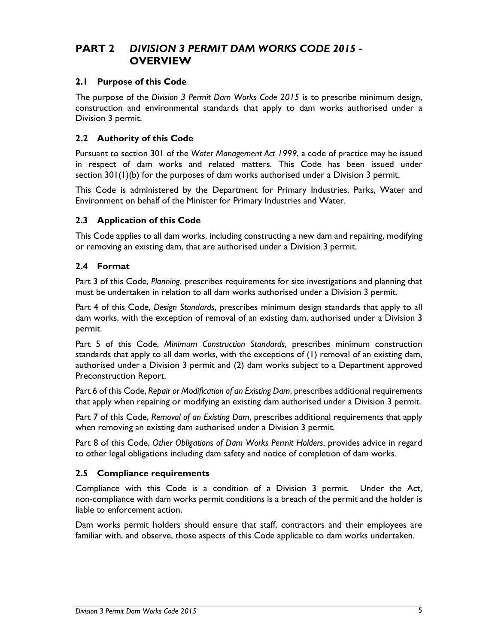## **PART 2** *DIVISION 3 PERMIT DAM WORKS CODE 2015* **- OVERVIEW**

#### **2.1 Purpose of this Code**

The purpose of the *Division 3 Permit Dam Works Code 2015* is to prescribe minimum design, construction and environmental standards that apply to dam works authorised under a Division 3 permit.

#### **2.2 Authority of this Code**

Pursuant to section 301 of the *Water Management Act 1999*, a code of practice may be issued in respect of dam works and related matters. This Code has been issued under section 301(1)(b) for the purposes of dam works authorised under a Division 3 permit.

This Code is administered by the Department for Primary Industries, Parks, Water and Environment on behalf of the Minister for Primary Industries and Water.

#### **2.3 Application of this Code**

This Code applies to all dam works, including constructing a new dam and repairing, modifying or removing an existing dam, that are authorised under a Division 3 permit.

#### **2.4 Format**

Part 3 of this Code, *Planning*, prescribes requirements for site investigations and planning that must be undertaken in relation to all dam works authorised under a Division 3 permit.

Part 4 of this Code, *Design Standards*, prescribes minimum design standards that apply to all dam works, with the exception of removal of an existing dam, authorised under a Division 3 permit.

Part 5 of this Code, *Minimum Construction Standards*, prescribes minimum construction standards that apply to all dam works, with the exceptions of (1) removal of an existing dam, authorised under a Division 3 permit and (2) dam works subject to a Department approved Preconstruction Report.

Part 6 of this Code, *Repair or Modification of an Existing Dam*, prescribes additional requirements that apply when repairing or modifying an existing dam authorised under a Division 3 permit.

Part 7 of this Code, *Removal of an Existing Dam*, prescribes additional requirements that apply when removing an existing dam authorised under a Division 3 permit.

Part 8 of this Code, *Other Obligations of Dam Works Permit Holders*, provides advice in regard to other legal obligations including dam safety and notice of completion of dam works.

#### **2.5 Compliance requirements**

Compliance with this Code is a condition of a Division 3 permit. Under the Act, non-compliance with dam works permit conditions is a breach of the permit and the holder is liable to enforcement action.

Dam works permit holders should ensure that staff, contractors and their employees are familiar with, and observe, those aspects of this Code applicable to dam works undertaken.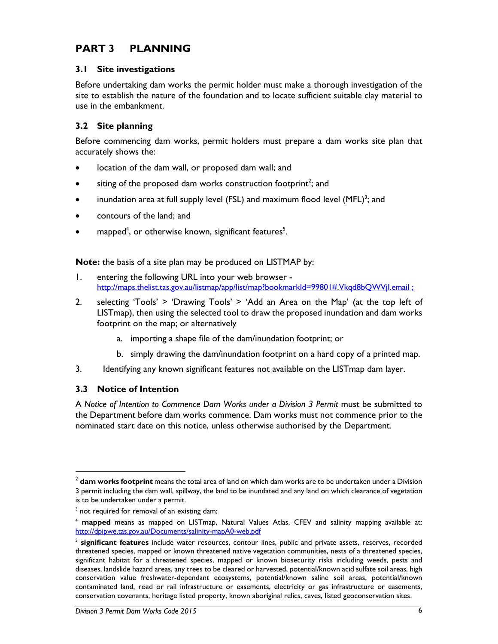## **PART 3 PLANNING**

#### **3.1 Site investigations**

Before undertaking dam works the permit holder must make a thorough investigation of the site to establish the nature of the foundation and to locate sufficient suitable clay material to use in the embankment.

#### **3.2 Site planning**

Before commencing dam works, permit holders must prepare a dam works site plan that accurately shows the:

- location of the dam wall, or proposed dam wall; and
- $\bullet$  siting of the proposed dam works construction footprint<sup>2</sup>; and
- inundation area at full supply level (FSL) and maximum flood level  $(MFL)^3$ ; and
- contours of the land; and
- mapped<sup>4</sup>, or otherwise known, significant features<sup>5</sup>.

**Note:** the basis of a site plan may be produced on LISTMAP by:

- 1. entering the following URL into your web browser http://maps.thelist.tas.gov.au/listmap/app/list/map?bookmarkId=99801#.Vkqd8bQWVil.email:
- 2. selecting 'Tools' > 'Drawing Tools' > 'Add an Area on the Map' (at the top left of LISTmap), then using the selected tool to draw the proposed inundation and dam works footprint on the map; or alternatively
	- a. importing a shape file of the dam/inundation footprint; or
	- b. simply drawing the dam/inundation footprint on a hard copy of a printed map.
- 3. Identifying any known significant features not available on the LISTmap dam layer.

#### **3.3 Notice of Intention**

 $\overline{a}$ 

A Notice of Intention to Commence Dam Works under a Division 3 Permit must be submitted to the Department before dam works commence. Dam works must not commence prior to the nominated start date on this notice, unless otherwise authorised by the Department.

<sup>2</sup> **dam works footprint** means the total area of land on which dam works are to be undertaken under a Division 3 permit including the dam wall, spillway, the land to be inundated and any land on which clearance of vegetation is to be undertaken under a permit.

<sup>&</sup>lt;sup>3</sup> not required for removal of an existing dam;

<sup>4</sup> **mapped** means as mapped on LISTmap, Natural Values Atlas, CFEV and salinity mapping available at: http://dpipwe.tas.gov.au/Documents/salinity-mapA0-web.pdf

<sup>5</sup> **significant features** include water resources, contour lines, public and private assets, reserves, recorded threatened species, mapped or known threatened native vegetation communities, nests of a threatened species, significant habitat for a threatened species, mapped or known biosecurity risks including weeds, pests and diseases, landslide hazard areas, any trees to be cleared or harvested, potential/known acid sulfate soil areas, high conservation value freshwater-dependant ecosystems, potential/known saline soil areas, potential/known contaminated land, road or rail infrastructure or easements, electricity or gas infrastructure or easements, conservation covenants, heritage listed property, known aboriginal relics, caves, listed geoconservation sites.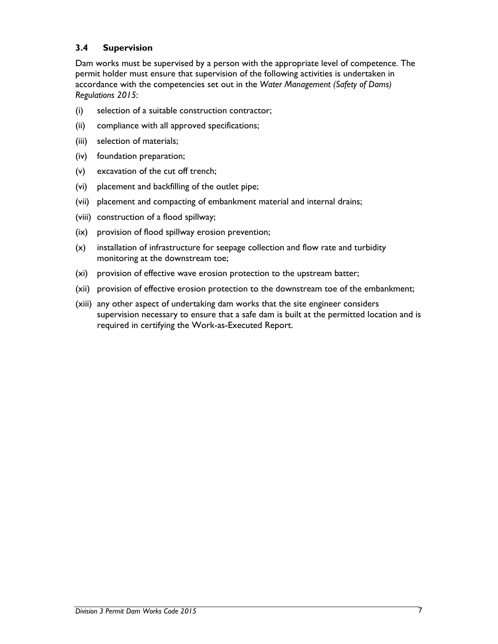#### **3.4 Supervision**

Dam works must be supervised by a person with the appropriate level of competence. The permit holder must ensure that supervision of the following activities is undertaken in accordance with the competencies set out in the *Water Management (Safety of Dams) Regulations 2015*:

- (i) selection of a suitable construction contractor;
- (ii) compliance with all approved specifications;
- (iii) selection of materials;
- (iv) foundation preparation;
- (v) excavation of the cut off trench;
- (vi) placement and backfilling of the outlet pipe;
- (vii) placement and compacting of embankment material and internal drains;
- (viii) construction of a flood spillway;
- (ix) provision of flood spillway erosion prevention;
- (x) installation of infrastructure for seepage collection and flow rate and turbidity monitoring at the downstream toe;
- (xi) provision of effective wave erosion protection to the upstream batter;
- (xii) provision of effective erosion protection to the downstream toe of the embankment;
- (xiii) any other aspect of undertaking dam works that the site engineer considers supervision necessary to ensure that a safe dam is built at the permitted location and is required in certifying the Work-as-Executed Report.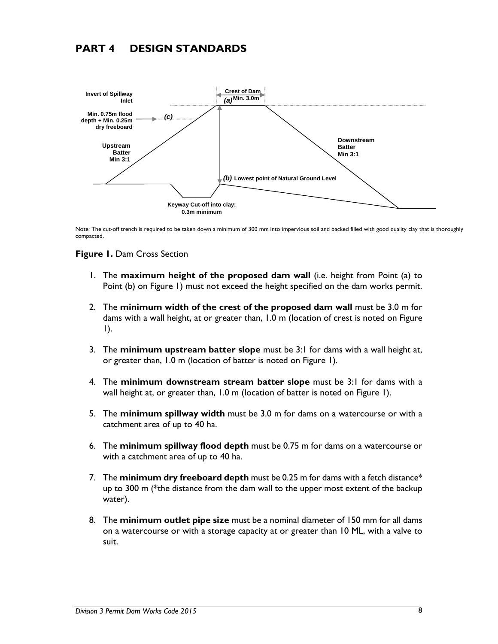## **PART 4 DESIGN STANDARDS**



Note: The cut-off trench is required to be taken down a minimum of 300 mm into impervious soil and backed filled with good quality clay that is thoroughly compacted.

#### **Figure 1.** Dam Cross Section

- 1. The **maximum height of the proposed dam wall** (i.e. height from Point (a) to Point (b) on Figure 1) must not exceed the height specified on the dam works permit.
- 2. The **minimum width of the crest of the proposed dam wall** must be 3.0 m for dams with a wall height, at or greater than, 1.0 m (location of crest is noted on Figure 1).
- 3. The **minimum upstream batter slope** must be 3:1 for dams with a wall height at, or greater than, 1.0 m (location of batter is noted on Figure 1).
- 4. The **minimum downstream stream batter slope** must be 3:1 for dams with a wall height at, or greater than, 1.0 m (location of batter is noted on Figure 1).
- 5. The **minimum spillway width** must be 3.0 m for dams on a watercourse or with a catchment area of up to 40 ha.
- 6. The **minimum spillway flood depth** must be 0.75 m for dams on a watercourse or with a catchment area of up to 40 ha.
- 7. The **minimum dry freeboard depth** must be 0.25 m for dams with a fetch distance\* up to 300 m (\*the distance from the dam wall to the upper most extent of the backup water).
- 8. The **minimum outlet pipe size** must be a nominal diameter of 150 mm for all dams on a watercourse or with a storage capacity at or greater than 10 ML, with a valve to suit.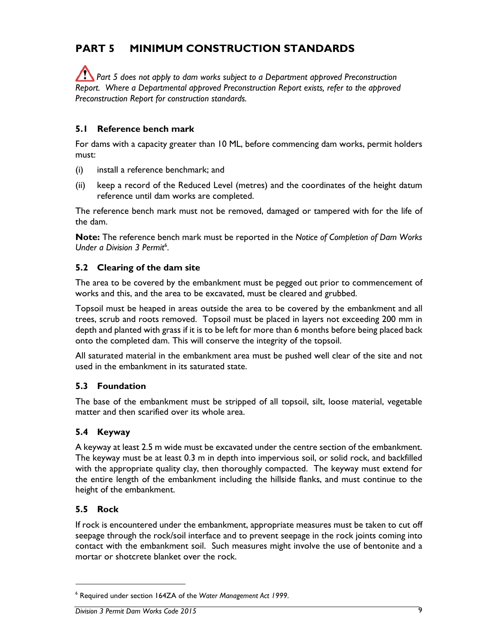## **PART 5 MINIMUM CONSTRUCTION STANDARDS**

**Part 5 does not apply to dam works subject to a Department approved Preconstruction** *Report. Where a Departmental approved Preconstruction Report exists, refer to the approved Preconstruction Report for construction standards.*

#### **5.1 Reference bench mark**

For dams with a capacity greater than 10 ML, before commencing dam works, permit holders must:

- (i) install a reference benchmark; and
- (ii) keep a record of the Reduced Level (metres) and the coordinates of the height datum reference until dam works are completed.

The reference bench mark must not be removed, damaged or tampered with for the life of the dam.

**Note:** The reference bench mark must be reported in the *Notice of Completion of Dam Works*  Under a Division 3 Permit<sup>6</sup>.

#### **5.2 Clearing of the dam site**

The area to be covered by the embankment must be pegged out prior to commencement of works and this, and the area to be excavated, must be cleared and grubbed.

Topsoil must be heaped in areas outside the area to be covered by the embankment and all trees, scrub and roots removed. Topsoil must be placed in layers not exceeding 200 mm in depth and planted with grass if it is to be left for more than 6 months before being placed back onto the completed dam. This will conserve the integrity of the topsoil.

All saturated material in the embankment area must be pushed well clear of the site and not used in the embankment in its saturated state.

#### **5.3 Foundation**

The base of the embankment must be stripped of all topsoil, silt, loose material, vegetable matter and then scarified over its whole area.

#### **5.4 Keyway**

A keyway at least 2.5 m wide must be excavated under the centre section of the embankment. The keyway must be at least 0.3 m in depth into impervious soil, or solid rock, and backfilled with the appropriate quality clay, then thoroughly compacted. The keyway must extend for the entire length of the embankment including the hillside flanks, and must continue to the height of the embankment.

#### **5.5 Rock**

 $\overline{a}$ 

If rock is encountered under the embankment, appropriate measures must be taken to cut off seepage through the rock/soil interface and to prevent seepage in the rock joints coming into contact with the embankment soil. Such measures might involve the use of bentonite and a mortar or shotcrete blanket over the rock.

<sup>6</sup> Required under section 164ZA of the *Water Management Act 1999*.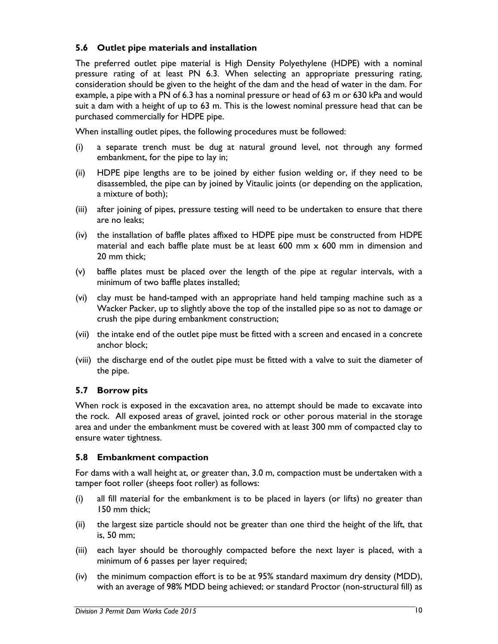#### **5.6 Outlet pipe materials and installation**

The preferred outlet pipe material is High Density Polyethylene (HDPE) with a nominal pressure rating of at least PN 6.3. When selecting an appropriate pressuring rating, consideration should be given to the height of the dam and the head of water in the dam. For example, a pipe with a PN of 6.3 has a nominal pressure or head of 63 m or 630 kPa and would suit a dam with a height of up to 63 m. This is the lowest nominal pressure head that can be purchased commercially for HDPE pipe.

When installing outlet pipes, the following procedures must be followed:

- (i) a separate trench must be dug at natural ground level, not through any formed embankment, for the pipe to lay in;
- (ii) HDPE pipe lengths are to be joined by either fusion welding or, if they need to be disassembled, the pipe can by joined by Vitaulic joints (or depending on the application, a mixture of both);
- (iii) after joining of pipes, pressure testing will need to be undertaken to ensure that there are no leaks;
- (iv) the installation of baffle plates affixed to HDPE pipe must be constructed from HDPE material and each baffle plate must be at least 600 mm x 600 mm in dimension and 20 mm thick;
- (v) baffle plates must be placed over the length of the pipe at regular intervals, with a minimum of two baffle plates installed;
- (vi) clay must be hand-tamped with an appropriate hand held tamping machine such as a Wacker Packer, up to slightly above the top of the installed pipe so as not to damage or crush the pipe during embankment construction;
- (vii) the intake end of the outlet pipe must be fitted with a screen and encased in a concrete anchor block;
- (viii) the discharge end of the outlet pipe must be fitted with a valve to suit the diameter of the pipe.

#### **5.7 Borrow pits**

When rock is exposed in the excavation area, no attempt should be made to excavate into the rock. All exposed areas of gravel, jointed rock or other porous material in the storage area and under the embankment must be covered with at least 300 mm of compacted clay to ensure water tightness.

#### **5.8 Embankment compaction**

For dams with a wall height at, or greater than, 3.0 m, compaction must be undertaken with a tamper foot roller (sheeps foot roller) as follows:

- (i) all fill material for the embankment is to be placed in layers (or lifts) no greater than 150 mm thick;
- (ii) the largest size particle should not be greater than one third the height of the lift, that is, 50 mm;
- (iii) each layer should be thoroughly compacted before the next layer is placed, with a minimum of 6 passes per layer required;
- (iv) the minimum compaction effort is to be at 95% standard maximum dry density (MDD), with an average of 98% MDD being achieved; or standard Proctor (non-structural fill) as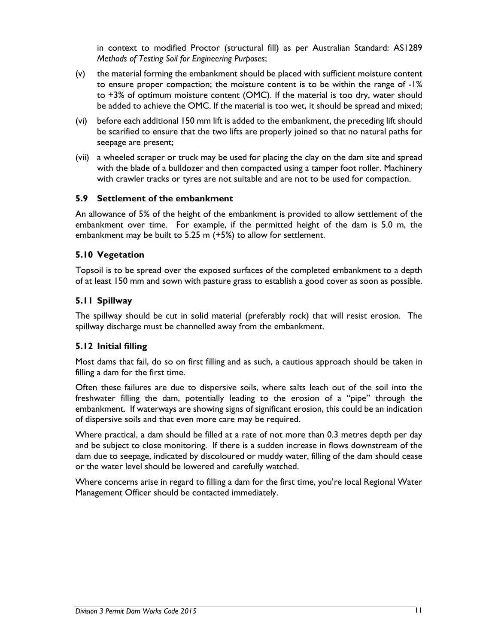in context to modified Proctor (structural fill) as per Australian Standard: AS1289 *Methods of Testing Soil for Engineering Purposes*;

- (v) the material forming the embankment should be placed with sufficient moisture content to ensure proper compaction; the moisture content is to be within the range of -1% to +3% of optimum moisture content (OMC). If the material is too dry, water should be added to achieve the OMC. If the material is too wet, it should be spread and mixed;
- (vi) before each additional 150 mm lift is added to the embankment, the preceding lift should be scarified to ensure that the two lifts are properly joined so that no natural paths for seepage are present;
- (vii) a wheeled scraper or truck may be used for placing the clay on the dam site and spread with the blade of a bulldozer and then compacted using a tamper foot roller. Machinery with crawler tracks or tyres are not suitable and are not to be used for compaction.

#### **5.9 Settlement of the embankment**

An allowance of 5% of the height of the embankment is provided to allow settlement of the embankment over time. For example, if the permitted height of the dam is 5.0 m, the embankment may be built to 5.25 m (+5%) to allow for settlement.

#### **5.10 Vegetation**

Topsoil is to be spread over the exposed surfaces of the completed embankment to a depth of at least 150 mm and sown with pasture grass to establish a good cover as soon as possible.

#### **5.11 Spillway**

The spillway should be cut in solid material (preferably rock) that will resist erosion. The spillway discharge must be channelled away from the embankment.

#### **5.12 Initial filling**

Most dams that fail, do so on first filling and as such, a cautious approach should be taken in filling a dam for the first time.

Often these failures are due to dispersive soils, where salts leach out of the soil into the freshwater filling the dam, potentially leading to the erosion of a "pipe" through the embankment. If waterways are showing signs of significant erosion, this could be an indication of dispersive soils and that even more care may be required.

Where practical, a dam should be filled at a rate of not more than 0.3 metres depth per day and be subject to close monitoring. If there is a sudden increase in flows downstream of the dam due to seepage, indicated by discoloured or muddy water, filling of the dam should cease or the water level should be lowered and carefully watched.

Where concerns arise in regard to filling a dam for the first time, you're local Regional Water Management Officer should be contacted immediately.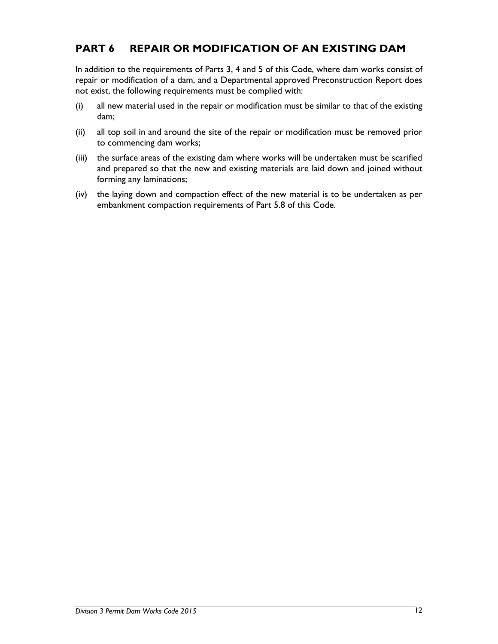## **PART 6 REPAIR OR MODIFICATION OF AN EXISTING DAM**

In addition to the requirements of Parts 3, 4 and 5 of this Code, where dam works consist of repair or modification of a dam, and a Departmental approved Preconstruction Report does not exist, the following requirements must be complied with:

- (i) all new material used in the repair or modification must be similar to that of the existing dam;
- (ii) all top soil in and around the site of the repair or modification must be removed prior to commencing dam works;
- (iii) the surface areas of the existing dam where works will be undertaken must be scarified and prepared so that the new and existing materials are laid down and joined without forming any laminations;
- (iv) the laying down and compaction effect of the new material is to be undertaken as per embankment compaction requirements of Part 5.8 of this Code.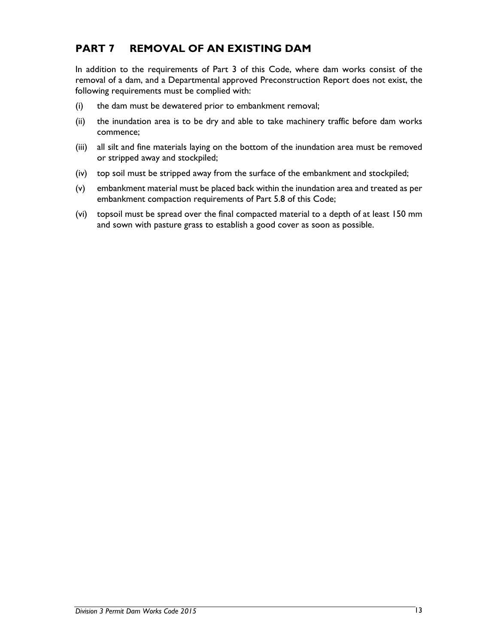## **PART 7 REMOVAL OF AN EXISTING DAM**

In addition to the requirements of Part 3 of this Code, where dam works consist of the removal of a dam, and a Departmental approved Preconstruction Report does not exist, the following requirements must be complied with:

- (i) the dam must be dewatered prior to embankment removal;
- (ii) the inundation area is to be dry and able to take machinery traffic before dam works commence;
- (iii) all silt and fine materials laying on the bottom of the inundation area must be removed or stripped away and stockpiled;
- (iv) top soil must be stripped away from the surface of the embankment and stockpiled;
- (v) embankment material must be placed back within the inundation area and treated as per embankment compaction requirements of Part 5.8 of this Code;
- (vi) topsoil must be spread over the final compacted material to a depth of at least 150 mm and sown with pasture grass to establish a good cover as soon as possible.